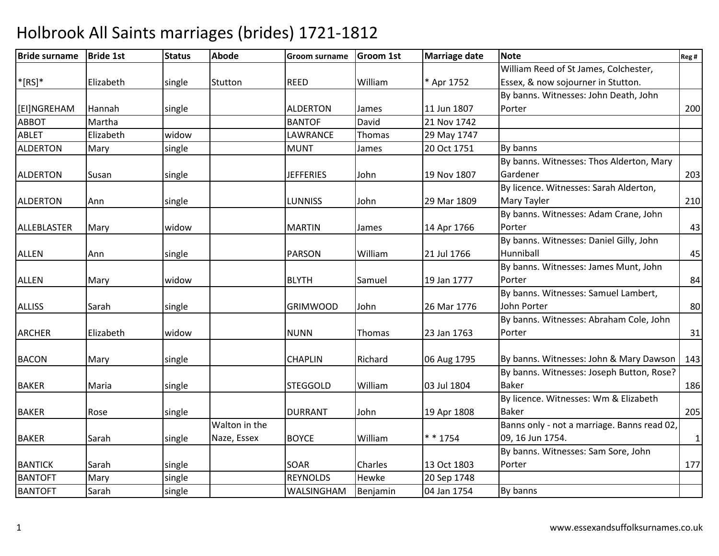| <b>Bride surname</b> | <b>Bride 1st</b> | <b>Status</b> | <b>Abode</b>  | Groom surname    | Groom 1st | <b>Marriage date</b> | <b>Note</b>                                 | Reg #       |
|----------------------|------------------|---------------|---------------|------------------|-----------|----------------------|---------------------------------------------|-------------|
|                      |                  |               |               |                  |           |                      | William Reed of St James, Colchester,       |             |
| $*$ [RS] $*$         | Elizabeth        | single        | Stutton       | <b>REED</b>      | William   | * Apr 1752           | Essex, & now sojourner in Stutton.          |             |
|                      |                  |               |               |                  |           |                      | By banns. Witnesses: John Death, John       |             |
| [EI]NGREHAM          | Hannah           | single        |               | <b>ALDERTON</b>  | James     | 11 Jun 1807          | Porter                                      | 200         |
| <b>ABBOT</b>         | Martha           |               |               | <b>BANTOF</b>    | David     | 21 Nov 1742          |                                             |             |
| <b>ABLET</b>         | Elizabeth        | widow         |               | LAWRANCE         | Thomas    | 29 May 1747          |                                             |             |
| <b>ALDERTON</b>      | Mary             | single        |               | <b>MUNT</b>      | James     | 20 Oct 1751          | By banns                                    |             |
|                      |                  |               |               |                  |           |                      | By banns. Witnesses: Thos Alderton, Mary    |             |
| <b>ALDERTON</b>      | Susan            | single        |               | <b>JEFFERIES</b> | John      | 19 Nov 1807          | Gardener                                    | 203         |
|                      |                  |               |               |                  |           |                      | By licence. Witnesses: Sarah Alderton,      |             |
| ALDERTON             | Ann              | single        |               | <b>LUNNISS</b>   | John      | 29 Mar 1809          | Mary Tayler                                 | 210         |
|                      |                  |               |               |                  |           |                      | By banns. Witnesses: Adam Crane, John       |             |
| ALLEBLASTER          | Mary             | widow         |               | <b>MARTIN</b>    | James     | 14 Apr 1766          | Porter                                      | 43          |
|                      |                  |               |               |                  |           |                      | By banns. Witnesses: Daniel Gilly, John     |             |
| <b>ALLEN</b>         | Ann              | single        |               | <b>PARSON</b>    | William   | 21 Jul 1766          | Hunniball                                   | 45          |
|                      |                  |               |               |                  |           |                      | By banns. Witnesses: James Munt, John       |             |
| <b>ALLEN</b>         | Mary             | widow         |               | <b>BLYTH</b>     | Samuel    | 19 Jan 1777          | Porter                                      | 84          |
|                      |                  |               |               |                  |           |                      | By banns. Witnesses: Samuel Lambert,        |             |
| <b>ALLISS</b>        | Sarah            | single        |               | <b>GRIMWOOD</b>  | John      | 26 Mar 1776          | John Porter                                 | 80          |
|                      |                  |               |               |                  |           |                      | By banns. Witnesses: Abraham Cole, John     |             |
| <b>ARCHER</b>        | Elizabeth        | widow         |               | <b>NUNN</b>      | Thomas    | 23 Jan 1763          | Porter                                      | 31          |
|                      |                  |               |               |                  |           |                      |                                             |             |
| <b>BACON</b>         | Mary             | single        |               | <b>CHAPLIN</b>   | Richard   | 06 Aug 1795          | By banns. Witnesses: John & Mary Dawson     | 143         |
|                      |                  |               |               |                  |           |                      | By banns. Witnesses: Joseph Button, Rose?   |             |
| <b>BAKER</b>         | Maria            | single        |               | <b>STEGGOLD</b>  | William   | 03 Jul 1804          | <b>Baker</b>                                | 186         |
|                      |                  |               |               |                  |           |                      | By licence. Witnesses: Wm & Elizabeth       |             |
| <b>BAKER</b>         | Rose             | single        |               | <b>DURRANT</b>   | John      | 19 Apr 1808          | <b>Baker</b>                                | 205         |
|                      |                  |               | Walton in the |                  |           |                      | Banns only - not a marriage. Banns read 02, |             |
| <b>BAKER</b>         | Sarah            | single        | Naze, Essex   | <b>BOYCE</b>     | William   | $* * 1754$           | 09, 16 Jun 1754.                            | $\mathbf 1$ |
|                      |                  |               |               |                  |           |                      | By banns. Witnesses: Sam Sore, John         |             |
| <b>BANTICK</b>       | Sarah            | single        |               | <b>SOAR</b>      | Charles   | 13 Oct 1803          | Porter                                      | 177         |
| <b>BANTOFT</b>       | Mary             | single        |               | <b>REYNOLDS</b>  | Hewke     | 20 Sep 1748          |                                             |             |
| <b>BANTOFT</b>       | Sarah            | single        |               | WALSINGHAM       | Benjamin  | 04 Jan 1754          | By banns                                    |             |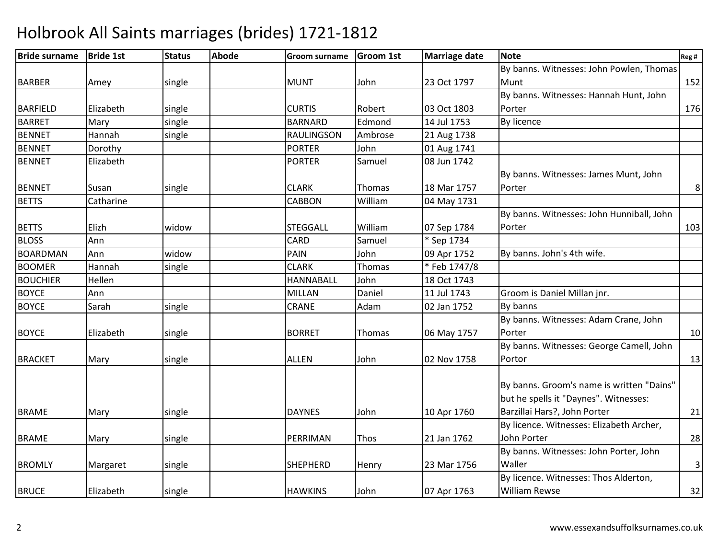| <b>Bride surname</b> | <b>Bride 1st</b> | <b>Status</b> | <b>Abode</b> | <b>Groom surname</b> | <b>Groom 1st</b> | <b>Marriage date</b> | <b>Note</b>                               | Reg # |
|----------------------|------------------|---------------|--------------|----------------------|------------------|----------------------|-------------------------------------------|-------|
|                      |                  |               |              |                      |                  |                      | By banns. Witnesses: John Powlen, Thomas  |       |
| <b>BARBER</b>        | Amey             | single        |              | <b>MUNT</b>          | John             | 23 Oct 1797          | Munt                                      | 152   |
|                      |                  |               |              |                      |                  |                      | By banns. Witnesses: Hannah Hunt, John    |       |
| <b>BARFIELD</b>      | Elizabeth        | single        |              | <b>CURTIS</b>        | Robert           | 03 Oct 1803          | Porter                                    | 176   |
| <b>BARRET</b>        | Mary             | single        |              | <b>BARNARD</b>       | Edmond           | 14 Jul 1753          | By licence                                |       |
| <b>BENNET</b>        | Hannah           | single        |              | <b>RAULINGSON</b>    | Ambrose          | 21 Aug 1738          |                                           |       |
| <b>BENNET</b>        | Dorothy          |               |              | <b>PORTER</b>        | John             | 01 Aug 1741          |                                           |       |
| <b>BENNET</b>        | Elizabeth        |               |              | <b>PORTER</b>        | Samuel           | 08 Jun 1742          |                                           |       |
|                      |                  |               |              |                      |                  |                      | By banns. Witnesses: James Munt, John     |       |
| <b>BENNET</b>        | Susan            | single        |              | <b>CLARK</b>         | Thomas           | 18 Mar 1757          | Porter                                    | 8     |
| <b>BETTS</b>         | Catharine        |               |              | <b>CABBON</b>        | William          | 04 May 1731          |                                           |       |
|                      |                  |               |              |                      |                  |                      | By banns. Witnesses: John Hunniball, John |       |
| <b>BETTS</b>         | Elizh            | widow         |              | <b>STEGGALL</b>      | William          | 07 Sep 1784          | Porter                                    | 103   |
| <b>BLOSS</b>         | Ann              |               |              | CARD                 | Samuel           | * Sep 1734           |                                           |       |
| <b>BOARDMAN</b>      | Ann              | widow         |              | <b>PAIN</b>          | John             | 09 Apr 1752          | By banns. John's 4th wife.                |       |
| <b>BOOMER</b>        | Hannah           | single        |              | <b>CLARK</b>         | Thomas           | *Feb 1747/8          |                                           |       |
| <b>BOUCHIER</b>      | Hellen           |               |              | <b>HANNABALL</b>     | John             | 18 Oct 1743          |                                           |       |
| <b>BOYCE</b>         | Ann              |               |              | <b>MILLAN</b>        | Daniel           | 11 Jul 1743          | Groom is Daniel Millan jnr.               |       |
| <b>BOYCE</b>         | Sarah            | single        |              | CRANE                | Adam             | 02 Jan 1752          | By banns                                  |       |
|                      |                  |               |              |                      |                  |                      | By banns. Witnesses: Adam Crane, John     |       |
| <b>BOYCE</b>         | Elizabeth        | single        |              | <b>BORRET</b>        | Thomas           | 06 May 1757          | Porter                                    | 10    |
|                      |                  |               |              |                      |                  |                      | By banns. Witnesses: George Camell, John  |       |
| <b>BRACKET</b>       | Mary             | single        |              | <b>ALLEN</b>         | John             | 02 Nov 1758          | Portor                                    | 13    |
|                      |                  |               |              |                      |                  |                      |                                           |       |
|                      |                  |               |              |                      |                  |                      | By banns. Groom's name is written "Dains" |       |
|                      |                  |               |              |                      |                  |                      | but he spells it "Daynes". Witnesses:     |       |
| <b>BRAME</b>         | Mary             | single        |              | <b>DAYNES</b>        | John             | 10 Apr 1760          | Barzillai Hars?, John Porter              | 21    |
|                      |                  |               |              |                      |                  |                      | By licence. Witnesses: Elizabeth Archer,  |       |
| <b>BRAME</b>         | Mary             | single        |              | PERRIMAN             | Thos             | 21 Jan 1762          | John Porter                               | 28    |
|                      |                  |               |              |                      |                  |                      | By banns. Witnesses: John Porter, John    |       |
| <b>BROMLY</b>        | Margaret         | single        |              | <b>SHEPHERD</b>      | Henry            | 23 Mar 1756          | Waller                                    | 3     |
|                      |                  |               |              |                      |                  |                      | By licence. Witnesses: Thos Alderton,     |       |
| <b>BRUCE</b>         | Elizabeth        | single        |              | <b>HAWKINS</b>       | John             | 07 Apr 1763          | <b>William Rewse</b>                      | 32    |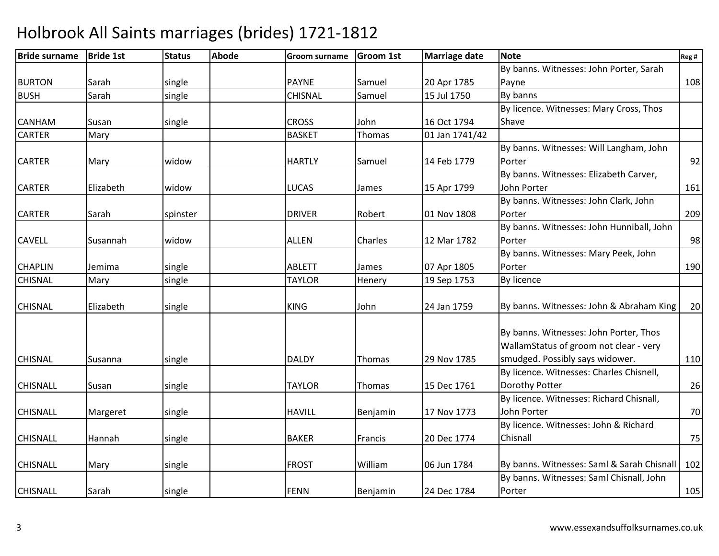| <b>Bride surname</b> | <b>Bride 1st</b> | <b>Status</b> | <b>Abode</b> | Groom surname  | Groom 1st | <b>Marriage date</b> | <b>Note</b>                                                                                                         | Reg # |
|----------------------|------------------|---------------|--------------|----------------|-----------|----------------------|---------------------------------------------------------------------------------------------------------------------|-------|
|                      |                  |               |              |                |           |                      | By banns. Witnesses: John Porter, Sarah                                                                             |       |
| <b>BURTON</b>        | Sarah            | single        |              | <b>PAYNE</b>   | Samuel    | 20 Apr 1785          | Payne                                                                                                               | 108   |
| <b>BUSH</b>          | Sarah            | single        |              | <b>CHISNAL</b> | Samuel    | 15 Jul 1750          | By banns                                                                                                            |       |
|                      |                  |               |              |                |           |                      | By licence. Witnesses: Mary Cross, Thos                                                                             |       |
| <b>CANHAM</b>        | Susan            | single        |              | <b>CROSS</b>   | John      | 16 Oct 1794          | Shave                                                                                                               |       |
| <b>CARTER</b>        | Mary             |               |              | <b>BASKET</b>  | Thomas    | 01 Jan 1741/42       |                                                                                                                     |       |
|                      |                  |               |              |                |           |                      | By banns. Witnesses: Will Langham, John                                                                             |       |
| <b>CARTER</b>        | Mary             | widow         |              | <b>HARTLY</b>  | Samuel    | 14 Feb 1779          | Porter                                                                                                              | 92    |
|                      |                  |               |              |                |           |                      | By banns. Witnesses: Elizabeth Carver,                                                                              |       |
| <b>CARTER</b>        | Elizabeth        | widow         |              | <b>LUCAS</b>   | James     | 15 Apr 1799          | John Porter                                                                                                         | 161   |
|                      |                  |               |              |                |           |                      | By banns. Witnesses: John Clark, John                                                                               |       |
| <b>CARTER</b>        | Sarah            | spinster      |              | <b>DRIVER</b>  | Robert    | 01 Nov 1808          | Porter                                                                                                              | 209   |
|                      |                  |               |              |                |           |                      | By banns. Witnesses: John Hunniball, John                                                                           |       |
| <b>CAVELL</b>        | Susannah         | widow         |              | <b>ALLEN</b>   | Charles   | 12 Mar 1782          | Porter                                                                                                              | 98    |
|                      |                  |               |              |                |           |                      | By banns. Witnesses: Mary Peek, John                                                                                |       |
| <b>CHAPLIN</b>       | Jemima           | single        |              | ABLETT         | James     | 07 Apr 1805          | Porter                                                                                                              | 190   |
| <b>CHISNAL</b>       | Mary             | single        |              | <b>TAYLOR</b>  | Henery    | 19 Sep 1753          | <b>By licence</b>                                                                                                   |       |
| <b>CHISNAL</b>       | Elizabeth        | single        |              | <b>KING</b>    | John      | 24 Jan 1759          | By banns. Witnesses: John & Abraham King                                                                            | 20    |
| <b>CHISNAL</b>       | Susanna          | single        |              | <b>DALDY</b>   | Thomas    | 29 Nov 1785          | By banns. Witnesses: John Porter, Thos<br>WallamStatus of groom not clear - very<br>smudged. Possibly says widower. | 110   |
|                      |                  |               |              |                |           |                      | By licence. Witnesses: Charles Chisnell,                                                                            |       |
| <b>CHISNALL</b>      | Susan            | single        |              | <b>TAYLOR</b>  | Thomas    | 15 Dec 1761          | Dorothy Potter                                                                                                      | 26    |
|                      |                  |               |              |                |           |                      | By licence. Witnesses: Richard Chisnall,                                                                            |       |
| <b>CHISNALL</b>      | Margeret         | single        |              | <b>HAVILL</b>  | Benjamin  | 17 Nov 1773          | John Porter                                                                                                         | 70    |
|                      |                  |               |              |                |           |                      | By licence. Witnesses: John & Richard                                                                               |       |
| <b>CHISNALL</b>      | Hannah           | single        |              | <b>BAKER</b>   | Francis   | 20 Dec 1774          | Chisnall                                                                                                            | 75    |
| <b>CHISNALL</b>      | Mary             | single        |              | <b>FROST</b>   | William   | 06 Jun 1784          | By banns. Witnesses: Saml & Sarah Chisnall                                                                          | 102   |
| <b>CHISNALL</b>      | Sarah            | single        |              | <b>FENN</b>    | Benjamin  | 24 Dec 1784          | By banns. Witnesses: Saml Chisnall, John<br>Porter                                                                  | 105   |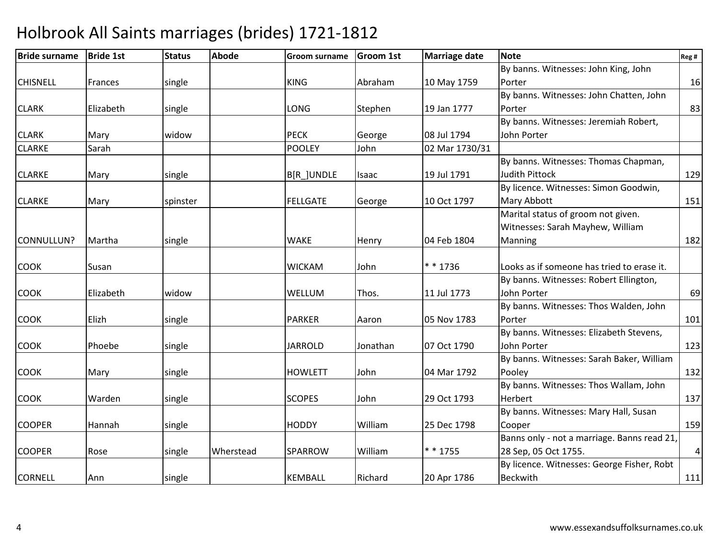| <b>Bride surname</b> | <b>Bride 1st</b> | <b>Status</b> | <b>Abode</b> | Groom surname   | <b>Groom 1st</b> | <b>Marriage date</b> | <b>Note</b>                                 | Reg # |
|----------------------|------------------|---------------|--------------|-----------------|------------------|----------------------|---------------------------------------------|-------|
|                      |                  |               |              |                 |                  |                      | By banns. Witnesses: John King, John        |       |
| <b>CHISNELL</b>      | Frances          | single        |              | <b>KING</b>     | Abraham          | 10 May 1759          | Porter                                      | 16    |
|                      |                  |               |              |                 |                  |                      | By banns. Witnesses: John Chatten, John     |       |
| <b>CLARK</b>         | Elizabeth        | single        |              | LONG            | Stephen          | 19 Jan 1777          | Porter                                      | 83    |
|                      |                  |               |              |                 |                  |                      | By banns. Witnesses: Jeremiah Robert,       |       |
| <b>CLARK</b>         | Mary             | widow         |              | <b>PECK</b>     | George           | 08 Jul 1794          | John Porter                                 |       |
| <b>CLARKE</b>        | Sarah            |               |              | <b>POOLEY</b>   | John             | 02 Mar 1730/31       |                                             |       |
|                      |                  |               |              |                 |                  |                      | By banns. Witnesses: Thomas Chapman,        |       |
| <b>CLARKE</b>        | Mary             | single        |              | B[R_]UNDLE      | Isaac            | 19 Jul 1791          | <b>Judith Pittock</b>                       | 129   |
|                      |                  |               |              |                 |                  |                      | By licence. Witnesses: Simon Goodwin,       |       |
| <b>CLARKE</b>        | Mary             | spinster      |              | <b>FELLGATE</b> | George           | 10 Oct 1797          | Mary Abbott                                 | 151   |
|                      |                  |               |              |                 |                  |                      | Marital status of groom not given.          |       |
|                      |                  |               |              |                 |                  |                      | Witnesses: Sarah Mayhew, William            |       |
| CONNULLUN?           | Martha           | single        |              | <b>WAKE</b>     | Henry            | 04 Feb 1804          | Manning                                     | 182   |
|                      |                  |               |              |                 |                  |                      |                                             |       |
| <b>COOK</b>          | Susan            |               |              | <b>WICKAM</b>   | John             | ** 1736              | Looks as if someone has tried to erase it.  |       |
|                      |                  |               |              |                 |                  |                      | By banns. Witnesses: Robert Ellington,      |       |
| <b>COOK</b>          | Elizabeth        | widow         |              | WELLUM          | Thos.            | 11 Jul 1773          | John Porter                                 | 69    |
|                      |                  |               |              |                 |                  |                      | By banns. Witnesses: Thos Walden, John      |       |
| <b>COOK</b>          | Elizh            | single        |              | <b>PARKER</b>   | Aaron            | 05 Nov 1783          | Porter                                      | 101   |
|                      |                  |               |              |                 |                  |                      | By banns. Witnesses: Elizabeth Stevens,     |       |
| <b>COOK</b>          | Phoebe           | single        |              | <b>JARROLD</b>  | Jonathan         | 07 Oct 1790          | John Porter                                 | 123   |
|                      |                  |               |              |                 |                  |                      | By banns. Witnesses: Sarah Baker, William   |       |
| <b>COOK</b>          | Mary             | single        |              | <b>HOWLETT</b>  | John             | 04 Mar 1792          | Pooley                                      | 132   |
|                      |                  |               |              |                 |                  |                      | By banns. Witnesses: Thos Wallam, John      |       |
| <b>COOK</b>          | Warden           | single        |              | <b>SCOPES</b>   | John             | 29 Oct 1793          | Herbert                                     | 137   |
|                      |                  |               |              |                 |                  |                      | By banns. Witnesses: Mary Hall, Susan       |       |
| <b>COOPER</b>        | Hannah           | single        |              | <b>HODDY</b>    | William          | 25 Dec 1798          | Cooper                                      | 159   |
|                      |                  |               |              |                 |                  |                      | Banns only - not a marriage. Banns read 21, |       |
| <b>COOPER</b>        | Rose             | single        | Wherstead    | <b>SPARROW</b>  | William          | $* * 1755$           | 28 Sep, 05 Oct 1755.                        | 4     |
|                      |                  |               |              |                 |                  |                      | By licence. Witnesses: George Fisher, Robt  |       |
| <b>CORNELL</b>       | Ann              | single        |              | <b>KEMBALL</b>  | Richard          | 20 Apr 1786          | <b>Beckwith</b>                             | 111   |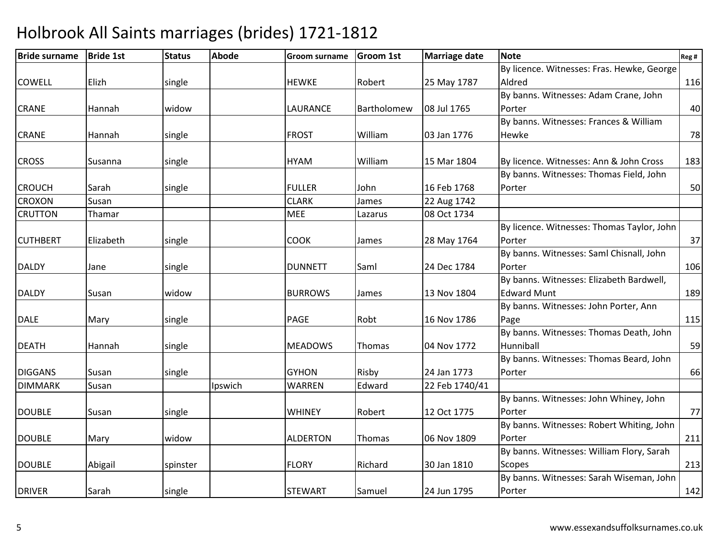| <b>Bride surname</b> | <b>Bride 1st</b> | <b>Status</b> | <b>Abode</b> | <b>Groom surname</b> | <b>Groom 1st</b> | <b>Marriage date</b> | <b>Note</b>                                | Reg # |
|----------------------|------------------|---------------|--------------|----------------------|------------------|----------------------|--------------------------------------------|-------|
|                      |                  |               |              |                      |                  |                      | By licence. Witnesses: Fras. Hewke, George |       |
| COWELL               | Elizh            | single        |              | <b>HEWKE</b>         | Robert           | 25 May 1787          | Aldred                                     | 116   |
|                      |                  |               |              |                      |                  |                      | By banns. Witnesses: Adam Crane, John      |       |
| <b>CRANE</b>         | Hannah           | widow         |              | LAURANCE             | Bartholomew      | 08 Jul 1765          | Porter                                     | 40    |
|                      |                  |               |              |                      |                  |                      | By banns. Witnesses: Frances & William     |       |
| <b>CRANE</b>         | Hannah           | single        |              | <b>FROST</b>         | William          | 03 Jan 1776          | Hewke                                      | 78    |
| <b>CROSS</b>         | Susanna          | single        |              | <b>HYAM</b>          | William          | 15 Mar 1804          | By licence. Witnesses: Ann & John Cross    | 183   |
|                      |                  |               |              |                      |                  |                      | By banns. Witnesses: Thomas Field, John    |       |
| <b>CROUCH</b>        | Sarah            | single        |              | <b>FULLER</b>        | John             | 16 Feb 1768          | Porter                                     | 50    |
| <b>CROXON</b>        | Susan            |               |              | <b>CLARK</b>         | James            | 22 Aug 1742          |                                            |       |
| <b>CRUTTON</b>       | Thamar           |               |              | <b>MEE</b>           | Lazarus          | 08 Oct 1734          |                                            |       |
|                      |                  |               |              |                      |                  |                      | By licence. Witnesses: Thomas Taylor, John |       |
| <b>CUTHBERT</b>      | Elizabeth        | single        |              | <b>COOK</b>          | James            | 28 May 1764          | Porter                                     | 37    |
|                      |                  |               |              |                      |                  |                      | By banns. Witnesses: Saml Chisnall, John   |       |
| <b>DALDY</b>         | Jane             | single        |              | <b>DUNNETT</b>       | Saml             | 24 Dec 1784          | Porter                                     | 106   |
|                      |                  |               |              |                      |                  |                      | By banns. Witnesses: Elizabeth Bardwell,   |       |
| <b>DALDY</b>         | Susan            | widow         |              | <b>BURROWS</b>       | James            | 13 Nov 1804          | <b>Edward Munt</b>                         | 189   |
|                      |                  |               |              |                      |                  |                      | By banns. Witnesses: John Porter, Ann      |       |
| <b>DALE</b>          | Mary             | single        |              | <b>PAGE</b>          | Robt             | 16 Nov 1786          | Page                                       | 115   |
|                      |                  |               |              |                      |                  |                      | By banns. Witnesses: Thomas Death, John    |       |
| <b>DEATH</b>         | Hannah           | single        |              | <b>MEADOWS</b>       | Thomas           | 04 Nov 1772          | Hunniball                                  | 59    |
|                      |                  |               |              |                      |                  |                      | By banns. Witnesses: Thomas Beard, John    |       |
| <b>DIGGANS</b>       | Susan            | single        |              | <b>GYHON</b>         | Risby            | 24 Jan 1773          | Porter                                     | 66    |
| <b>DIMMARK</b>       | Susan            |               | Ipswich      | WARREN               | Edward           | 22 Feb 1740/41       |                                            |       |
|                      |                  |               |              |                      |                  |                      | By banns. Witnesses: John Whiney, John     |       |
| <b>DOUBLE</b>        | Susan            | single        |              | <b>WHINEY</b>        | Robert           | 12 Oct 1775          | Porter                                     | 77    |
|                      |                  |               |              |                      |                  |                      | By banns. Witnesses: Robert Whiting, John  |       |
| <b>DOUBLE</b>        | Mary             | widow         |              | <b>ALDERTON</b>      | Thomas           | 06 Nov 1809          | Porter                                     | 211   |
|                      |                  |               |              |                      |                  |                      | By banns. Witnesses: William Flory, Sarah  |       |
| <b>DOUBLE</b>        | Abigail          | spinster      |              | <b>FLORY</b>         | Richard          | 30 Jan 1810          | <b>Scopes</b>                              | 213   |
|                      |                  |               |              |                      |                  |                      | By banns. Witnesses: Sarah Wiseman, John   |       |
| <b>DRIVER</b>        | Sarah            | single        |              | <b>STEWART</b>       | Samuel           | 24 Jun 1795          | Porter                                     | 142   |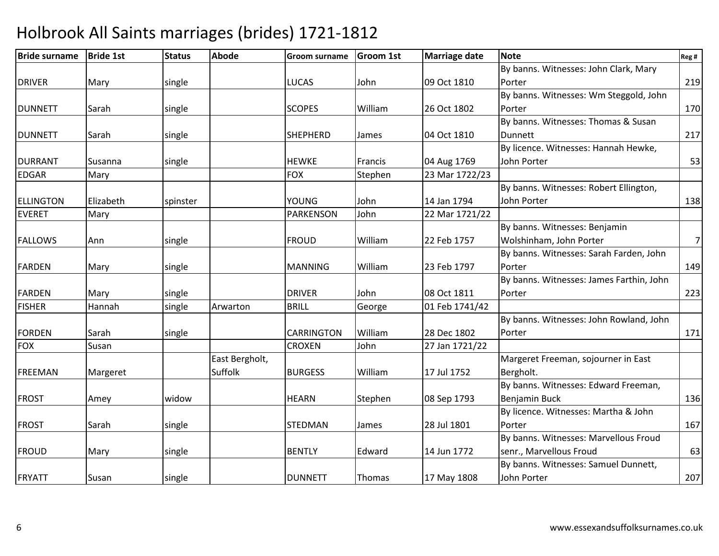| <b>Bride surname</b> | <b>Bride 1st</b> | <b>Status</b> | <b>Abode</b>   | <b>Groom surname</b> | <b>Groom 1st</b> | <b>Marriage date</b> | <b>Note</b>                              | Reg #          |
|----------------------|------------------|---------------|----------------|----------------------|------------------|----------------------|------------------------------------------|----------------|
|                      |                  |               |                |                      |                  |                      | By banns. Witnesses: John Clark, Mary    |                |
| <b>DRIVER</b>        | Mary             | single        |                | <b>LUCAS</b>         | John             | 09 Oct 1810          | Porter                                   | 219            |
|                      |                  |               |                |                      |                  |                      | By banns. Witnesses: Wm Steggold, John   |                |
| <b>DUNNETT</b>       | Sarah            | single        |                | <b>SCOPES</b>        | William          | 26 Oct 1802          | Porter                                   | 170            |
|                      |                  |               |                |                      |                  |                      | By banns. Witnesses: Thomas & Susan      |                |
| <b>DUNNETT</b>       | Sarah            | single        |                | <b>SHEPHERD</b>      | James            | 04 Oct 1810          | <b>Dunnett</b>                           | 217            |
|                      |                  |               |                |                      |                  |                      | By licence. Witnesses: Hannah Hewke,     |                |
| <b>DURRANT</b>       | <b>Susanna</b>   | single        |                | <b>HEWKE</b>         | Francis          | 04 Aug 1769          | John Porter                              | 53             |
| <b>EDGAR</b>         | Mary             |               |                | <b>FOX</b>           | Stephen          | 23 Mar 1722/23       |                                          |                |
|                      |                  |               |                |                      |                  |                      | By banns. Witnesses: Robert Ellington,   |                |
| <b>ELLINGTON</b>     | Elizabeth        | spinster      |                | <b>YOUNG</b>         | John             | 14 Jan 1794          | John Porter                              | 138            |
| <b>EVERET</b>        | Mary             |               |                | <b>PARKENSON</b>     | John             | 22 Mar 1721/22       |                                          |                |
|                      |                  |               |                |                      |                  |                      | By banns. Witnesses: Benjamin            |                |
| <b>FALLOWS</b>       | Ann              | single        |                | <b>FROUD</b>         | William          | 22 Feb 1757          | Wolshinham, John Porter                  | $\overline{7}$ |
|                      |                  |               |                |                      |                  |                      | By banns. Witnesses: Sarah Farden, John  |                |
| <b>FARDEN</b>        | Mary             | single        |                | <b>MANNING</b>       | William          | 23 Feb 1797          | Porter                                   | 149            |
|                      |                  |               |                |                      |                  |                      | By banns. Witnesses: James Farthin, John |                |
| <b>FARDEN</b>        | Mary             | single        |                | <b>DRIVER</b>        | John             | 08 Oct 1811          | Porter                                   | 223            |
| <b>FISHER</b>        | Hannah           | single        | Arwarton       | <b>BRILL</b>         | George           | 01 Feb 1741/42       |                                          |                |
|                      |                  |               |                |                      |                  |                      | By banns. Witnesses: John Rowland, John  |                |
| <b>FORDEN</b>        | Sarah            | single        |                | <b>CARRINGTON</b>    | William          | 28 Dec 1802          | Porter                                   | 171            |
| <b>FOX</b>           | Susan            |               |                | <b>CROXEN</b>        | John             | 27 Jan 1721/22       |                                          |                |
|                      |                  |               | East Bergholt, |                      |                  |                      | Margeret Freeman, sojourner in East      |                |
| <b>FREEMAN</b>       | Margeret         |               | Suffolk        | <b>BURGESS</b>       | William          | 17 Jul 1752          | Bergholt.                                |                |
|                      |                  |               |                |                      |                  |                      | By banns. Witnesses: Edward Freeman,     |                |
| <b>FROST</b>         | Amey             | widow         |                | <b>HEARN</b>         | Stephen          | 08 Sep 1793          | Benjamin Buck                            | 136            |
|                      |                  |               |                |                      |                  |                      | By licence. Witnesses: Martha & John     |                |
| <b>FROST</b>         | Sarah            | single        |                | <b>STEDMAN</b>       | James            | 28 Jul 1801          | Porter                                   | 167            |
|                      |                  |               |                |                      |                  |                      | By banns. Witnesses: Marvellous Froud    |                |
| <b>FROUD</b>         | Mary             | single        |                | <b>BENTLY</b>        | Edward           | 14 Jun 1772          | senr., Marvellous Froud                  | 63             |
|                      |                  |               |                |                      |                  |                      | By banns. Witnesses: Samuel Dunnett,     |                |
| <b>FRYATT</b>        | Susan            | single        |                | <b>DUNNETT</b>       | Thomas           | 17 May 1808          | John Porter                              | 207            |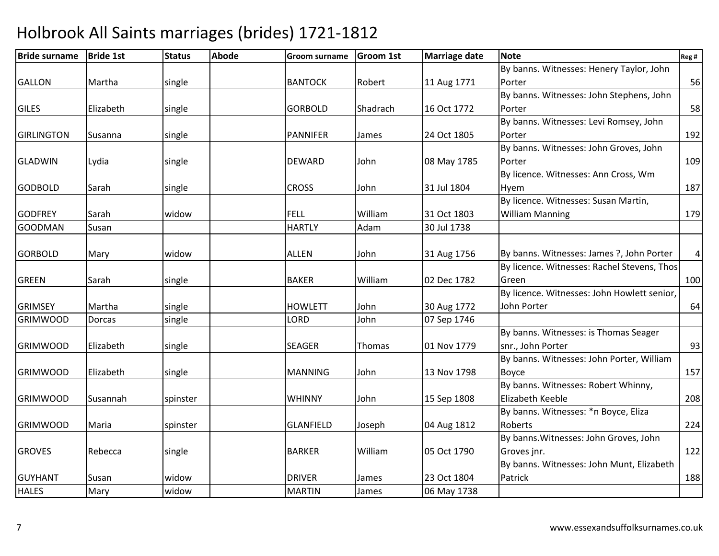| <b>Bride surname</b> | <b>Bride 1st</b> | <b>Status</b> | <b>Abode</b> | <b>Groom surname</b> | <b>Groom 1st</b> | <b>Marriage date</b> | <b>Note</b>                                 | Reg #          |
|----------------------|------------------|---------------|--------------|----------------------|------------------|----------------------|---------------------------------------------|----------------|
|                      |                  |               |              |                      |                  |                      | By banns. Witnesses: Henery Taylor, John    |                |
| <b>GALLON</b>        | Martha           | single        |              | <b>BANTOCK</b>       | Robert           | 11 Aug 1771          | Porter                                      | 56             |
|                      |                  |               |              |                      |                  |                      | By banns. Witnesses: John Stephens, John    |                |
| <b>GILES</b>         | Elizabeth        | single        |              | <b>GORBOLD</b>       | Shadrach         | 16 Oct 1772          | Porter                                      | 58             |
|                      |                  |               |              |                      |                  |                      | By banns. Witnesses: Levi Romsey, John      |                |
| <b>GIRLINGTON</b>    | Susanna          | single        |              | <b>PANNIFER</b>      | James            | 24 Oct 1805          | Porter                                      | 192            |
|                      |                  |               |              |                      |                  |                      | By banns. Witnesses: John Groves, John      |                |
| <b>GLADWIN</b>       | Lydia            | single        |              | <b>DEWARD</b>        | John             | 08 May 1785          | Porter                                      | 109            |
|                      |                  |               |              |                      |                  |                      | By licence. Witnesses: Ann Cross, Wm        |                |
| <b>GODBOLD</b>       | Sarah            | single        |              | <b>CROSS</b>         | John             | 31 Jul 1804          | Hyem                                        | 187            |
|                      |                  |               |              |                      |                  |                      | By licence. Witnesses: Susan Martin,        |                |
| <b>GODFREY</b>       | Sarah            | widow         |              | <b>FELL</b>          | William          | 31 Oct 1803          | <b>William Manning</b>                      | 179            |
| <b>GOODMAN</b>       | Susan            |               |              | <b>HARTLY</b>        | Adam             | 30 Jul 1738          |                                             |                |
|                      |                  |               |              |                      |                  |                      |                                             |                |
| <b>GORBOLD</b>       | Mary             | widow         |              | <b>ALLEN</b>         | John             | 31 Aug 1756          | By banns. Witnesses: James ?, John Porter   | $\overline{4}$ |
|                      |                  |               |              |                      |                  |                      | By licence. Witnesses: Rachel Stevens, Thos |                |
| <b>GREEN</b>         | Sarah            | single        |              | <b>BAKER</b>         | William          | 02 Dec 1782          | Green                                       | 100            |
|                      |                  |               |              |                      |                  |                      | By licence. Witnesses: John Howlett senior, |                |
| <b>GRIMSEY</b>       | Martha           | single        |              | <b>HOWLETT</b>       | John             | 30 Aug 1772          | John Porter                                 | 64             |
| <b>GRIMWOOD</b>      | <b>Dorcas</b>    | single        |              | LORD                 | John             | 07 Sep 1746          |                                             |                |
|                      |                  |               |              |                      |                  |                      | By banns. Witnesses: is Thomas Seager       |                |
| <b>GRIMWOOD</b>      | Elizabeth        | single        |              | <b>SEAGER</b>        | Thomas           | 01 Nov 1779          | snr., John Porter                           | 93             |
|                      |                  |               |              |                      |                  |                      | By banns. Witnesses: John Porter, William   |                |
| <b>GRIMWOOD</b>      | Elizabeth        | single        |              | <b>MANNING</b>       | John             | 13 Nov 1798          | <b>Boyce</b>                                | 157            |
|                      |                  |               |              |                      |                  |                      | By banns. Witnesses: Robert Whinny,         |                |
| <b>GRIMWOOD</b>      | Susannah         | spinster      |              | <b>WHINNY</b>        | John             | 15 Sep 1808          | Elizabeth Keeble                            | 208            |
|                      |                  |               |              |                      |                  |                      | By banns. Witnesses: * n Boyce, Eliza       |                |
| <b>GRIMWOOD</b>      | Maria            | spinster      |              | <b>GLANFIELD</b>     | Joseph           | 04 Aug 1812          | Roberts                                     | 224            |
|                      |                  |               |              |                      |                  |                      | By banns. Witnesses: John Groves, John      |                |
| <b>GROVES</b>        | Rebecca          | single        |              | <b>BARKER</b>        | William          | 05 Oct 1790          | Groves jnr.                                 | 122            |
|                      |                  |               |              |                      |                  |                      | By banns. Witnesses: John Munt, Elizabeth   |                |
| <b>GUYHANT</b>       | Susan            | widow         |              | <b>DRIVER</b>        | James            | 23 Oct 1804          | Patrick                                     | 188            |
| <b>HALES</b>         | Mary             | widow         |              | <b>MARTIN</b>        | James            | 06 May 1738          |                                             |                |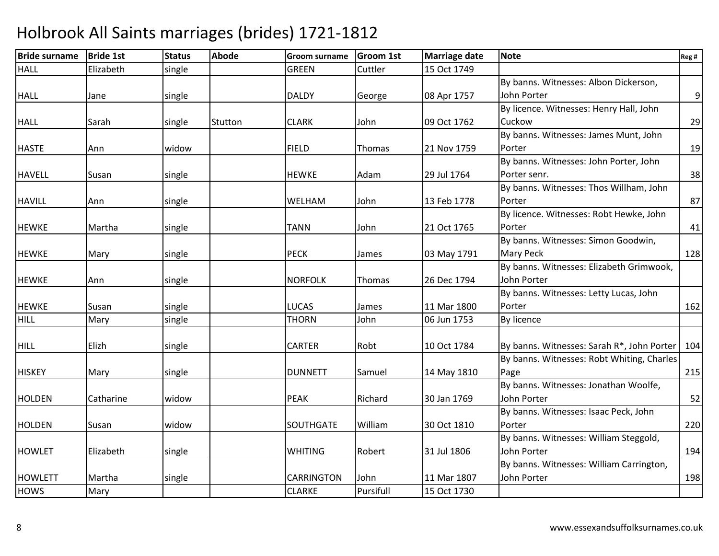| <b>Bride surname</b> | <b>Bride 1st</b> | <b>Status</b> | <b>Abode</b> | <b>Groom surname</b> | Groom 1st     | <b>Marriage date</b> | <b>Note</b>                                      | Reg #            |
|----------------------|------------------|---------------|--------------|----------------------|---------------|----------------------|--------------------------------------------------|------------------|
| <b>HALL</b>          | Elizabeth        | single        |              | <b>GREEN</b>         | Cuttler       | 15 Oct 1749          |                                                  |                  |
|                      |                  |               |              |                      |               |                      | By banns. Witnesses: Albon Dickerson,            |                  |
| <b>HALL</b>          | Jane             | single        |              | <b>DALDY</b>         | George        | 08 Apr 1757          | John Porter                                      | $\boldsymbol{9}$ |
|                      |                  |               |              |                      |               |                      | By licence. Witnesses: Henry Hall, John          |                  |
| <b>HALL</b>          | Sarah            | single        | Stutton      | <b>CLARK</b>         | John          | 09 Oct 1762          | Cuckow                                           | 29               |
|                      |                  |               |              |                      |               |                      | By banns. Witnesses: James Munt, John            |                  |
| <b>HASTE</b>         | Ann              | widow         |              | <b>FIELD</b>         | <b>Thomas</b> | 21 Nov 1759          | Porter                                           | 19               |
|                      |                  |               |              |                      |               |                      | By banns. Witnesses: John Porter, John           |                  |
| <b>HAVELL</b>        | Susan            | single        |              | <b>HEWKE</b>         | Adam          | 29 Jul 1764          | Porter senr.                                     | 38               |
|                      |                  |               |              |                      |               |                      | By banns. Witnesses: Thos Willham, John          |                  |
| <b>HAVILL</b>        | Ann              | single        |              | <b>WELHAM</b>        | John          | 13 Feb 1778          | Porter                                           | 87               |
|                      |                  |               |              |                      |               |                      | By licence. Witnesses: Robt Hewke, John          |                  |
| <b>HEWKE</b>         | Martha           | single        |              | <b>TANN</b>          | John          | 21 Oct 1765          | Porter                                           | 41               |
|                      |                  |               |              |                      |               |                      | By banns. Witnesses: Simon Goodwin,              |                  |
| <b>HEWKE</b>         | Mary             | single        |              | <b>PECK</b>          | James         | 03 May 1791          | <b>Mary Peck</b>                                 | 128              |
|                      |                  |               |              |                      |               |                      | By banns. Witnesses: Elizabeth Grimwook,         |                  |
| <b>HEWKE</b>         | Ann              | single        |              | <b>NORFOLK</b>       | Thomas        | 26 Dec 1794          | John Porter                                      |                  |
|                      |                  |               |              |                      |               |                      | By banns. Witnesses: Letty Lucas, John           |                  |
| <b>HEWKE</b>         | Susan            | single        |              | <b>LUCAS</b>         | James         | 11 Mar 1800          | Porter                                           | 162              |
| <b>HILL</b>          | Mary             | single        |              | <b>THORN</b>         | John          | 06 Jun 1753          | By licence                                       |                  |
|                      |                  |               |              |                      |               |                      |                                                  |                  |
| <b>HILL</b>          | Elizh            | single        |              | <b>CARTER</b>        | Robt          | 10 Oct 1784          | By banns. Witnesses: Sarah R*, John Porter   104 |                  |
|                      |                  |               |              |                      |               |                      | By banns. Witnesses: Robt Whiting, Charles       |                  |
| <b>HISKEY</b>        | Mary             | single        |              | <b>DUNNETT</b>       | Samuel        | 14 May 1810          | Page                                             | 215              |
|                      |                  |               |              |                      |               |                      | By banns. Witnesses: Jonathan Woolfe,            |                  |
| <b>HOLDEN</b>        | Catharine        | widow         |              | <b>PEAK</b>          | Richard       | 30 Jan 1769          | John Porter                                      | 52               |
|                      |                  |               |              |                      |               |                      | By banns. Witnesses: Isaac Peck, John            |                  |
| <b>HOLDEN</b>        | Susan            | widow         |              | <b>SOUTHGATE</b>     | William       | 30 Oct 1810          | Porter                                           | 220              |
|                      |                  |               |              |                      |               |                      | By banns. Witnesses: William Steggold,           |                  |
| <b>HOWLET</b>        | Elizabeth        | single        |              | <b>WHITING</b>       | Robert        | 31 Jul 1806          | John Porter                                      | 194              |
|                      |                  |               |              |                      |               |                      | By banns. Witnesses: William Carrington,         |                  |
| <b>HOWLETT</b>       | Martha           | single        |              | <b>CARRINGTON</b>    | John          | 11 Mar 1807          | John Porter                                      | 198              |
| <b>HOWS</b>          | Mary             |               |              | <b>CLARKE</b>        | Pursifull     | 15 Oct 1730          |                                                  |                  |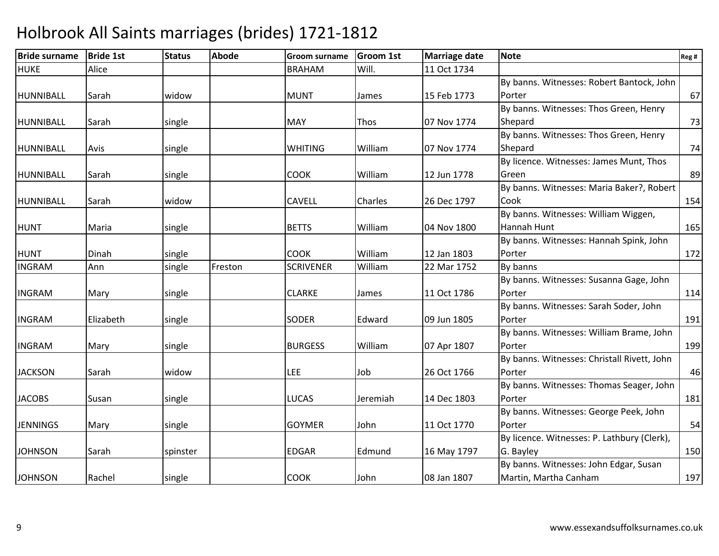| <b>Bride surname</b> | <b>Bride 1st</b> | <b>Status</b> | <b>Abode</b> | Groom surname    | <b>Groom 1st</b> | <b>Marriage date</b> | <b>Note</b>                                 | Reg # |
|----------------------|------------------|---------------|--------------|------------------|------------------|----------------------|---------------------------------------------|-------|
| <b>HUKE</b>          | Alice            |               |              | <b>BRAHAM</b>    | Will.            | 11 Oct 1734          |                                             |       |
|                      |                  |               |              |                  |                  |                      | By banns. Witnesses: Robert Bantock, John   |       |
| HUNNIBALL            | Sarah            | widow         |              | <b>MUNT</b>      | James            | 15 Feb 1773          | Porter                                      | 67    |
|                      |                  |               |              |                  |                  |                      | By banns. Witnesses: Thos Green, Henry      |       |
| HUNNIBALL            | Sarah            | single        |              | <b>MAY</b>       | Thos             | 07 Nov 1774          | Shepard                                     | 73    |
|                      |                  |               |              |                  |                  |                      | By banns. Witnesses: Thos Green, Henry      |       |
| HUNNIBALL            | Avis             | single        |              | <b>WHITING</b>   | William          | 07 Nov 1774          | Shepard                                     | 74    |
|                      |                  |               |              |                  |                  |                      | By licence. Witnesses: James Munt, Thos     |       |
| HUNNIBALL            | Sarah            | single        |              | <b>COOK</b>      | William          | 12 Jun 1778          | Green                                       | 89    |
|                      |                  |               |              |                  |                  |                      | By banns. Witnesses: Maria Baker?, Robert   |       |
| <b>HUNNIBALL</b>     | Sarah            | widow         |              | <b>CAVELL</b>    | Charles          | 26 Dec 1797          | Cook                                        | 154   |
|                      |                  |               |              |                  |                  |                      | By banns. Witnesses: William Wiggen,        |       |
| <b>HUNT</b>          | Maria            | single        |              | <b>BETTS</b>     | William          | 04 Nov 1800          | Hannah Hunt                                 | 165   |
|                      |                  |               |              |                  |                  |                      | By banns. Witnesses: Hannah Spink, John     |       |
| <b>HUNT</b>          | Dinah            | single        |              | <b>COOK</b>      | William          | 12 Jan 1803          | Porter                                      | 172   |
| <b>INGRAM</b>        | Ann              | single        | Freston      | <b>SCRIVENER</b> | William          | 22 Mar 1752          | By banns                                    |       |
|                      |                  |               |              |                  |                  |                      | By banns. Witnesses: Susanna Gage, John     |       |
| <b>INGRAM</b>        | Mary             | single        |              | <b>CLARKE</b>    | James            | 11 Oct 1786          | Porter                                      | 114   |
|                      |                  |               |              |                  |                  |                      | By banns. Witnesses: Sarah Soder, John      |       |
| <b>INGRAM</b>        | Elizabeth        | single        |              | <b>SODER</b>     | Edward           | 09 Jun 1805          | Porter                                      | 191   |
|                      |                  |               |              |                  |                  |                      | By banns. Witnesses: William Brame, John    |       |
| <b>INGRAM</b>        | Mary             | single        |              | <b>BURGESS</b>   | William          | 07 Apr 1807          | Porter                                      | 199   |
|                      |                  |               |              |                  |                  |                      | By banns. Witnesses: Christall Rivett, John |       |
| <b>JACKSON</b>       | Sarah            | widow         |              | <b>LEE</b>       | Job              | 26 Oct 1766          | Porter                                      | 46    |
|                      |                  |               |              |                  |                  |                      | By banns. Witnesses: Thomas Seager, John    |       |
| <b>JACOBS</b>        | Susan            | single        |              | <b>LUCAS</b>     | Jeremiah         | 14 Dec 1803          | Porter                                      | 181   |
|                      |                  |               |              |                  |                  |                      | By banns. Witnesses: George Peek, John      |       |
| <b>JENNINGS</b>      | Mary             | single        |              | <b>GOYMER</b>    | John             | 11 Oct 1770          | Porter                                      | 54    |
|                      |                  |               |              |                  |                  |                      | By licence. Witnesses: P. Lathbury (Clerk), |       |
| <b>JOHNSON</b>       | Sarah            | spinster      |              | <b>EDGAR</b>     | Edmund           | 16 May 1797          | G. Bayley                                   | 150   |
|                      |                  |               |              |                  |                  |                      | By banns. Witnesses: John Edgar, Susan      |       |
| <b>JOHNSON</b>       | Rachel           | single        |              | <b>COOK</b>      | John             | 08 Jan 1807          | Martin, Martha Canham                       | 197   |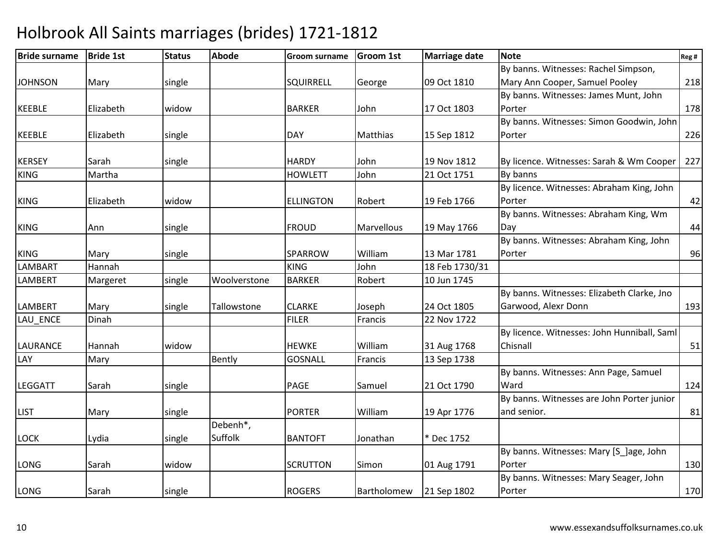| <b>Bride surname</b> | <b>Bride 1st</b> | <b>Status</b> | <b>Abode</b> | Groom surname    | Groom 1st       | <b>Marriage date</b> | <b>Note</b>                                 | Reg # |
|----------------------|------------------|---------------|--------------|------------------|-----------------|----------------------|---------------------------------------------|-------|
|                      |                  |               |              |                  |                 |                      | By banns. Witnesses: Rachel Simpson,        |       |
| <b>JOHNSON</b>       | Mary             | single        |              | <b>SQUIRRELL</b> | George          | 09 Oct 1810          | Mary Ann Cooper, Samuel Pooley              | 218   |
|                      |                  |               |              |                  |                 |                      | By banns. Witnesses: James Munt, John       |       |
| <b>KEEBLE</b>        | Elizabeth        | widow         |              | <b>BARKER</b>    | John            | 17 Oct 1803          | Porter                                      | 178   |
|                      |                  |               |              |                  |                 |                      | By banns. Witnesses: Simon Goodwin, John    |       |
| <b>KEEBLE</b>        | Elizabeth        | single        |              | <b>DAY</b>       | <b>Matthias</b> | 15 Sep 1812          | Porter                                      | 226   |
| <b>KERSEY</b>        | Sarah            | single        |              | <b>HARDY</b>     | John            | 19 Nov 1812          | By licence. Witnesses: Sarah & Wm Cooper    | 227   |
| <b>KING</b>          | Martha           |               |              | <b>HOWLETT</b>   | John            | 21 Oct 1751          | By banns                                    |       |
|                      |                  |               |              |                  |                 |                      | By licence. Witnesses: Abraham King, John   |       |
| <b>KING</b>          | Elizabeth        | widow         |              | <b>ELLINGTON</b> | Robert          | 19 Feb 1766          | Porter                                      | 42    |
|                      |                  |               |              |                  |                 |                      | By banns. Witnesses: Abraham King, Wm       |       |
| <b>KING</b>          | Ann              | single        |              | <b>FROUD</b>     | Marvellous      | 19 May 1766          | Day                                         | 44    |
|                      |                  |               |              |                  |                 |                      | By banns. Witnesses: Abraham King, John     |       |
| <b>KING</b>          | Mary             | single        |              | <b>SPARROW</b>   | William         | 13 Mar 1781          | Porter                                      | 96    |
| <b>LAMBART</b>       | Hannah           |               |              | <b>KING</b>      | John            | 18 Feb 1730/31       |                                             |       |
| LAMBERT              | Margeret         | single        | Woolverstone | <b>BARKER</b>    | Robert          | 10 Jun 1745          |                                             |       |
|                      |                  |               |              |                  |                 |                      | By banns. Witnesses: Elizabeth Clarke, Jno  |       |
| <b>LAMBERT</b>       | Mary             | single        | Tallowstone  | <b>CLARKE</b>    | Joseph          | 24 Oct 1805          | Garwood, Alexr Donn                         | 193   |
| LAU_ENCE             | Dinah            |               |              | <b>FILER</b>     | Francis         | 22 Nov 1722          |                                             |       |
|                      |                  |               |              |                  |                 |                      | By licence. Witnesses: John Hunniball, Saml |       |
| <b>LAURANCE</b>      | Hannah           | widow         |              | <b>HEWKE</b>     | William         | 31 Aug 1768          | Chisnall                                    | 51    |
| LAY                  | Mary             |               | Bently       | <b>GOSNALL</b>   | Francis         | 13 Sep 1738          |                                             |       |
|                      |                  |               |              |                  |                 |                      | By banns. Witnesses: Ann Page, Samuel       |       |
| <b>LEGGATT</b>       | Sarah            | single        |              | PAGE             | Samuel          | 21 Oct 1790          | Ward                                        | 124   |
|                      |                  |               |              |                  |                 |                      | By banns. Witnesses are John Porter junior  |       |
| <b>LIST</b>          | Mary             | single        |              | <b>PORTER</b>    | William         | 19 Apr 1776          | and senior.                                 | 81    |
|                      |                  |               | Debenh*,     |                  |                 |                      |                                             |       |
| LOCK                 | Lydia            | single        | Suffolk      | <b>BANTOFT</b>   | Jonathan        | * Dec 1752           |                                             |       |
|                      |                  |               |              |                  |                 |                      | By banns. Witnesses: Mary [S ]age, John     |       |
| LONG                 | Sarah            | widow         |              | <b>SCRUTTON</b>  | Simon           | 01 Aug 1791          | Porter                                      | 130   |
|                      |                  |               |              |                  |                 |                      | By banns. Witnesses: Mary Seager, John      |       |
| LONG                 | Sarah            | single        |              | <b>ROGERS</b>    | Bartholomew     | 21 Sep 1802          | Porter                                      | 170   |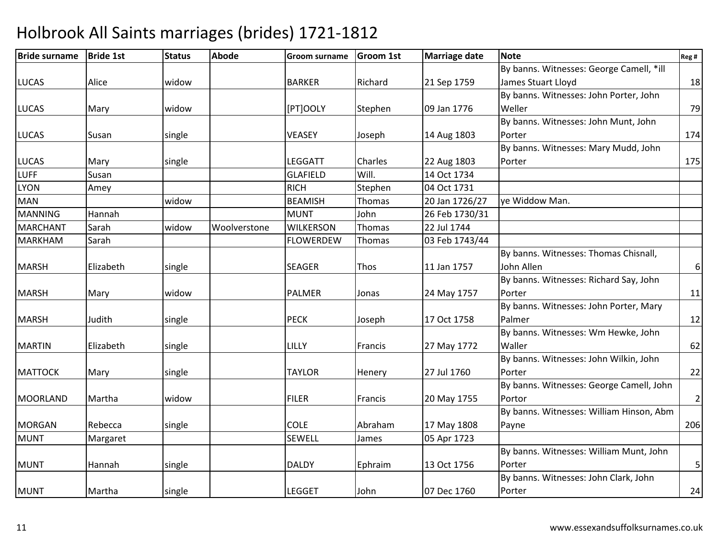| <b>Bride surname</b> | <b>Bride 1st</b> | <b>Status</b> | <b>Abode</b> | Groom surname    | <b>Groom 1st</b> | <b>Marriage date</b> | <b>Note</b>                              | Reg #          |
|----------------------|------------------|---------------|--------------|------------------|------------------|----------------------|------------------------------------------|----------------|
|                      |                  |               |              |                  |                  |                      | By banns. Witnesses: George Camell, *ill |                |
| <b>LUCAS</b>         | Alice            | widow         |              | <b>BARKER</b>    | Richard          | 21 Sep 1759          | James Stuart Lloyd                       | 18             |
|                      |                  |               |              |                  |                  |                      | By banns. Witnesses: John Porter, John   |                |
| <b>LUCAS</b>         | Mary             | widow         |              | [PT]OOLY         | Stephen          | 09 Jan 1776          | Weller                                   | 79             |
|                      |                  |               |              |                  |                  |                      | By banns. Witnesses: John Munt, John     |                |
| <b>LUCAS</b>         | Susan            | single        |              | VEASEY           | Joseph           | 14 Aug 1803          | Porter                                   | 174            |
|                      |                  |               |              |                  |                  |                      | By banns. Witnesses: Mary Mudd, John     |                |
| <b>LUCAS</b>         | Mary             | single        |              | <b>LEGGATT</b>   | Charles          | 22 Aug 1803          | Porter                                   | 175            |
| <b>LUFF</b>          | Susan            |               |              | <b>GLAFIELD</b>  | Will.            | 14 Oct 1734          |                                          |                |
| <b>LYON</b>          | Amey             |               |              | <b>RICH</b>      | Stephen          | 04 Oct 1731          |                                          |                |
| <b>MAN</b>           |                  | widow         |              | <b>BEAMISH</b>   | Thomas           | 20 Jan 1726/27       | ye Widdow Man.                           |                |
| <b>MANNING</b>       | Hannah           |               |              | <b>MUNT</b>      | John             | 26 Feb 1730/31       |                                          |                |
| <b>MARCHANT</b>      | Sarah            | widow         | Woolverstone | <b>WILKERSON</b> | Thomas           | 22 Jul 1744          |                                          |                |
| <b>MARKHAM</b>       | Sarah            |               |              | <b>FLOWERDEW</b> | Thomas           | 03 Feb 1743/44       |                                          |                |
|                      |                  |               |              |                  |                  |                      | By banns. Witnesses: Thomas Chisnall,    |                |
| <b>MARSH</b>         | Elizabeth        | single        |              | <b>SEAGER</b>    | Thos             | 11 Jan 1757          | John Allen                               | 6              |
|                      |                  |               |              |                  |                  |                      | By banns. Witnesses: Richard Say, John   |                |
| <b>MARSH</b>         | Mary             | widow         |              | <b>PALMER</b>    | Jonas            | 24 May 1757          | Porter                                   | 11             |
|                      |                  |               |              |                  |                  |                      | By banns. Witnesses: John Porter, Mary   |                |
| <b>MARSH</b>         | Judith           | single        |              | <b>PECK</b>      | Joseph           | 17 Oct 1758          | Palmer                                   | 12             |
|                      |                  |               |              |                  |                  |                      | By banns. Witnesses: Wm Hewke, John      |                |
| <b>MARTIN</b>        | Elizabeth        | single        |              | LILLY            | Francis          | 27 May 1772          | Waller                                   | 62             |
|                      |                  |               |              |                  |                  |                      | By banns. Witnesses: John Wilkin, John   |                |
| <b>MATTOCK</b>       | Mary             | single        |              | <b>TAYLOR</b>    | Henery           | 27 Jul 1760          | Porter                                   | 22             |
|                      |                  |               |              |                  |                  |                      | By banns. Witnesses: George Camell, John |                |
| <b>MOORLAND</b>      | Martha           | widow         |              | <b>FILER</b>     | Francis          | 20 May 1755          | Portor                                   | $\overline{2}$ |
|                      |                  |               |              |                  |                  |                      | By banns. Witnesses: William Hinson, Abm |                |
| <b>MORGAN</b>        | Rebecca          | single        |              | <b>COLE</b>      | Abraham          | 17 May 1808          | Payne                                    | 206            |
| <b>MUNT</b>          | Margaret         |               |              | <b>SEWELL</b>    | James            | 05 Apr 1723          |                                          |                |
|                      |                  |               |              |                  |                  |                      | By banns. Witnesses: William Munt, John  |                |
| <b>MUNT</b>          | Hannah           | single        |              | <b>DALDY</b>     | Ephraim          | 13 Oct 1756          | Porter                                   | 5              |
|                      |                  |               |              |                  |                  |                      | By banns. Witnesses: John Clark, John    |                |
| <b>MUNT</b>          | Martha           | single        |              | <b>LEGGET</b>    | John             | 07 Dec 1760          | Porter                                   | 24             |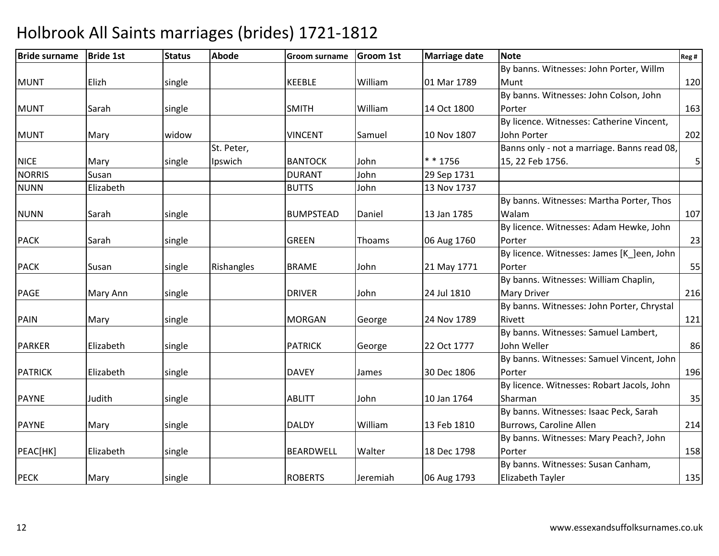#### Bride surnamee Bride 1st 5tatus Abode Groom surname Groom 1st Marriage date Note Reg # MUNT Elizh single KEEBLE William 01 Mar 1789 By banns. Witnesses: John Porter, Willm Muntt 120 MUNT Sarah Single Smith SMITH William 14 Oct 1800 By banns. Witnesses: John Colson, John Porterr 163 MUNT Mary Widow VINCENT Samuel 10 Nov 1807 By licence. Witnesses: Catherine Vincent, John Porterr 202 NICE Mary single St. Peter, IpswichBANTOCK John \*\* 1756<br>DURANT John 29 Sep 1731 Banns only - not a marriage. Banns read 08, 15, 22 Feb 1756. 5**NORRIS**  Susan DURANT John 29 Sep 1731 NUNNN Elizabeth BUTTS John 13 Nov 1737 NUNN Sarah Sarah Single BUMPSTEAD Daniel 13 Jan 1785 By banns. Witnesses: Martha Porter, Thos Walam <sup>107</sup> By licence. Witnesses: Adam Hewke, John PACK Sarah Sarah Single GREEN Thoams 06 Aug 1760 Porter<u>r</u> 23 PACK Susan Single Rishangles BRAME John 21 May 1771 By licence. Witnesses: James [K\_]een, John Porter<u>and the set of the set of the set of the set of the set of the set of the set of the set of the set of the set of the set of the set of the set of the set of the set of the set of the set of the set of the set of the set </u> PAGE Mary Ann single DRIVER John 24 Jul 1810 By banns. Witnesses: William Chaplin, Mary Driverr 216 PAIN Mary Single MORGAN George 24 Nov 1789 By banns. Witnesses: John Porter, Chrystal Rivettt 121 PARKER Elizabeth single **PATRICK** George 22 Oct 1777 By banns. Witnesses: Samuel Lambert, John Wellerr 86 PATRICK Elizabeth single DAVEY James 30 Dec 1806 By banns. Witnesses: Samuel Vincent, John Porter<u>r 196</u> PAYNE Judith Single ABLITT John 1764 By licence. Witnesses: Robart Jacols, John Sharmann 35 PAYNE Mary Single DALDY William 13 Feb 1810 By banns. Witnesses: Isaac Peck, Sarah Burrows, Caroline Allenn 214 PEAC[HK] Elizabeth single | BEARDWELL Walter 18 Dec 1798 By banns. Witnesses: Mary Peach?, John Porter<u>and 158</u> PECK Mary Single Network ROBERTS Deremiah 106 Aug 1793 By banns. Witnesses: Susan Canham, Elizabeth Tayler<u>r</u> 135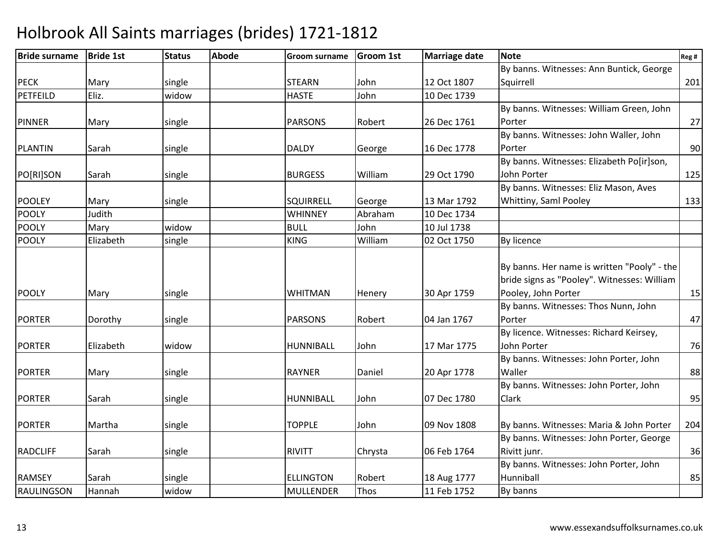| <b>Bride surname</b> | <b>Bride 1st</b> | <b>Status</b> | <b>Abode</b> | <b>Groom surname</b> | <b>Groom 1st</b> | <b>Marriage date</b> | <b>Note</b>                                                                                                       | Reg # |
|----------------------|------------------|---------------|--------------|----------------------|------------------|----------------------|-------------------------------------------------------------------------------------------------------------------|-------|
|                      |                  |               |              |                      |                  |                      | By banns. Witnesses: Ann Buntick, George                                                                          |       |
| <b>PECK</b>          | Mary             | single        |              | <b>STEARN</b>        | John             | 12 Oct 1807          | Squirrell                                                                                                         | 201   |
| <b>PETFEILD</b>      | Eliz.            | widow         |              | <b>HASTE</b>         | John             | 10 Dec 1739          |                                                                                                                   |       |
|                      |                  |               |              |                      |                  |                      | By banns. Witnesses: William Green, John                                                                          |       |
| <b>PINNER</b>        | Mary             | single        |              | <b>PARSONS</b>       | Robert           | 26 Dec 1761          | Porter                                                                                                            | 27    |
|                      |                  |               |              |                      |                  |                      | By banns. Witnesses: John Waller, John                                                                            |       |
| <b>PLANTIN</b>       | Sarah            | single        |              | <b>DALDY</b>         | George           | 16 Dec 1778          | Porter                                                                                                            | 90    |
|                      |                  |               |              |                      |                  |                      | By banns. Witnesses: Elizabeth Po[ir]son,                                                                         |       |
| PO[RI]SON            | Sarah            | single        |              | <b>BURGESS</b>       | William          | 29 Oct 1790          | John Porter                                                                                                       | 125   |
|                      |                  |               |              |                      |                  |                      | By banns. Witnesses: Eliz Mason, Aves                                                                             |       |
| <b>POOLEY</b>        | Mary             | single        |              | <b>SQUIRRELL</b>     | George           | 13 Mar 1792          | Whittiny, Saml Pooley                                                                                             | 133   |
| <b>POOLY</b>         | Judith           |               |              | <b>WHINNEY</b>       | Abraham          | 10 Dec 1734          |                                                                                                                   |       |
| <b>POOLY</b>         | Mary             | widow         |              | <b>BULL</b>          | John             | 10 Jul 1738          |                                                                                                                   |       |
| <b>POOLY</b>         | Elizabeth        | single        |              | <b>KING</b>          | William          | 02 Oct 1750          | By licence                                                                                                        |       |
| <b>POOLY</b>         | Mary             | single        |              | <b>WHITMAN</b>       | Henery           | 30 Apr 1759          | By banns. Her name is written "Pooly" - the<br>bride signs as "Pooley". Witnesses: William<br>Pooley, John Porter | 15    |
|                      |                  |               |              |                      |                  |                      | By banns. Witnesses: Thos Nunn, John                                                                              |       |
| <b>PORTER</b>        | Dorothy          | single        |              | <b>PARSONS</b>       | Robert           | 04 Jan 1767          | Porter                                                                                                            | 47    |
| <b>PORTER</b>        | Elizabeth        | widow         |              | <b>HUNNIBALL</b>     | John             | 17 Mar 1775          | By licence. Witnesses: Richard Keirsey,<br>John Porter                                                            | 76    |
| <b>PORTER</b>        | Mary             | single        |              | <b>RAYNER</b>        | Daniel           | 20 Apr 1778          | By banns. Witnesses: John Porter, John<br>Waller                                                                  | 88    |
| <b>PORTER</b>        | Sarah            | single        |              | <b>HUNNIBALL</b>     | John             | 07 Dec 1780          | By banns. Witnesses: John Porter, John<br>Clark                                                                   | 95    |
| <b>PORTER</b>        | Martha           | single        |              | <b>TOPPLE</b>        | John             | 09 Nov 1808          | By banns. Witnesses: Maria & John Porter                                                                          | 204   |
|                      |                  |               |              |                      |                  |                      | By banns. Witnesses: John Porter, George                                                                          |       |
| <b>RADCLIFF</b>      | Sarah            | single        |              | <b>RIVITT</b>        | Chrysta          | 06 Feb 1764          | Rivitt junr.                                                                                                      | 36    |
|                      |                  |               |              |                      |                  |                      | By banns. Witnesses: John Porter, John                                                                            |       |
| <b>RAMSEY</b>        | Sarah            | single        |              | <b>ELLINGTON</b>     | Robert           | 18 Aug 1777          | Hunniball                                                                                                         | 85    |
| RAULINGSON           | Hannah           | widow         |              | MULLENDER            | Thos             | 11 Feb 1752          | By banns                                                                                                          |       |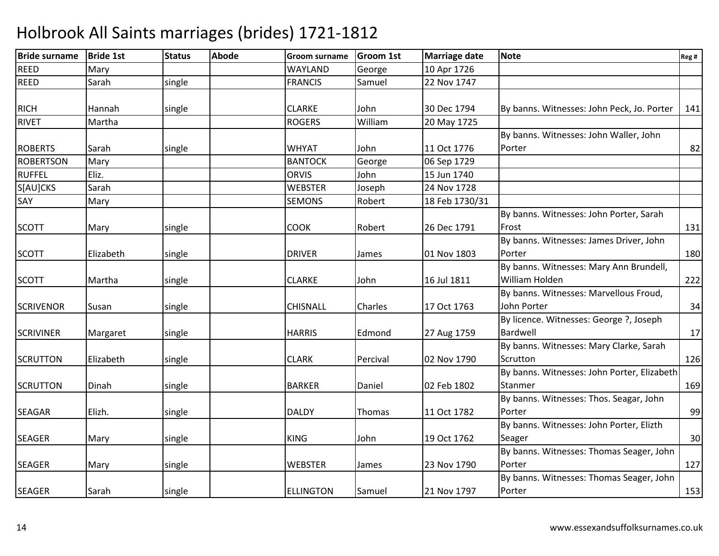| <b>Bride surname</b> | <b>Bride 1st</b> | <b>Status</b> | <b>Abode</b> | <b>Groom surname</b> | <b>Groom 1st</b> | <b>Marriage date</b> | <b>Note</b>                                 | Reg # |
|----------------------|------------------|---------------|--------------|----------------------|------------------|----------------------|---------------------------------------------|-------|
| <b>REED</b>          | Mary             |               |              | <b>WAYLAND</b>       | George           | 10 Apr 1726          |                                             |       |
| <b>REED</b>          | Sarah            | single        |              | <b>FRANCIS</b>       | Samuel           | 22 Nov 1747          |                                             |       |
|                      |                  |               |              |                      |                  |                      |                                             |       |
| <b>RICH</b>          | Hannah           | single        |              | <b>CLARKE</b>        | John             | 30 Dec 1794          | By banns. Witnesses: John Peck, Jo. Porter  | 141   |
| <b>RIVET</b>         | Martha           |               |              | <b>ROGERS</b>        | William          | 20 May 1725          |                                             |       |
|                      |                  |               |              |                      |                  |                      | By banns. Witnesses: John Waller, John      |       |
| <b>ROBERTS</b>       | Sarah            | single        |              | <b>WHYAT</b>         | John             | 11 Oct 1776          | Porter                                      | 82    |
| <b>ROBERTSON</b>     | Mary             |               |              | <b>BANTOCK</b>       | George           | 06 Sep 1729          |                                             |       |
| <b>RUFFEL</b>        | Eliz.            |               |              | <b>ORVIS</b>         | John             | 15 Jun 1740          |                                             |       |
| S[AU]CKS             | Sarah            |               |              | <b>WEBSTER</b>       | Joseph           | 24 Nov 1728          |                                             |       |
| SAY                  | Mary             |               |              | <b>SEMONS</b>        | Robert           | 18 Feb 1730/31       |                                             |       |
|                      |                  |               |              |                      |                  |                      | By banns. Witnesses: John Porter, Sarah     |       |
| <b>SCOTT</b>         | Mary             | single        |              | <b>COOK</b>          | Robert           | 26 Dec 1791          | Frost                                       | 131   |
|                      |                  |               |              |                      |                  |                      | By banns. Witnesses: James Driver, John     |       |
| <b>SCOTT</b>         | Elizabeth        | single        |              | <b>DRIVER</b>        | James            | 01 Nov 1803          | Porter                                      | 180   |
|                      |                  |               |              |                      |                  |                      | By banns. Witnesses: Mary Ann Brundell,     |       |
| <b>SCOTT</b>         | Martha           | single        |              | <b>CLARKE</b>        | John             | 16 Jul 1811          | William Holden                              | 222   |
|                      |                  |               |              |                      |                  |                      | By banns. Witnesses: Marvellous Froud,      |       |
| <b>SCRIVENOR</b>     | Susan            | single        |              | <b>CHISNALL</b>      | Charles          | 17 Oct 1763          | John Porter                                 | 34    |
|                      |                  |               |              |                      |                  |                      | By licence. Witnesses: George ?, Joseph     |       |
| <b>SCRIVINER</b>     | Margaret         | single        |              | <b>HARRIS</b>        | Edmond           | 27 Aug 1759          | Bardwell                                    | 17    |
|                      |                  |               |              |                      |                  |                      | By banns. Witnesses: Mary Clarke, Sarah     |       |
| <b>SCRUTTON</b>      | Elizabeth        | single        |              | <b>CLARK</b>         | Percival         | 02 Nov 1790          | Scrutton                                    | 126   |
|                      |                  |               |              |                      |                  |                      | By banns. Witnesses: John Porter, Elizabeth |       |
| <b>SCRUTTON</b>      | Dinah            | single        |              | <b>BARKER</b>        | Daniel           | 02 Feb 1802          | Stanmer                                     | 169   |
|                      |                  |               |              |                      |                  |                      | By banns. Witnesses: Thos. Seagar, John     |       |
| <b>SEAGAR</b>        | Elizh.           | single        |              | <b>DALDY</b>         | Thomas           | 11 Oct 1782          | Porter                                      | 99    |
|                      |                  |               |              |                      |                  |                      | By banns. Witnesses: John Porter, Elizth    |       |
| <b>SEAGER</b>        | Mary             | single        |              | <b>KING</b>          | John             | 19 Oct 1762          | Seager                                      | 30    |
|                      |                  |               |              |                      |                  |                      | By banns. Witnesses: Thomas Seager, John    |       |
| <b>SEAGER</b>        | Mary             | single        |              | <b>WEBSTER</b>       | James            | 23 Nov 1790          | Porter                                      | 127   |
|                      |                  |               |              |                      |                  |                      | By banns. Witnesses: Thomas Seager, John    |       |
| <b>SEAGER</b>        | Sarah            | single        |              | <b>ELLINGTON</b>     | Samuel           | 21 Nov 1797          | Porter                                      | 153   |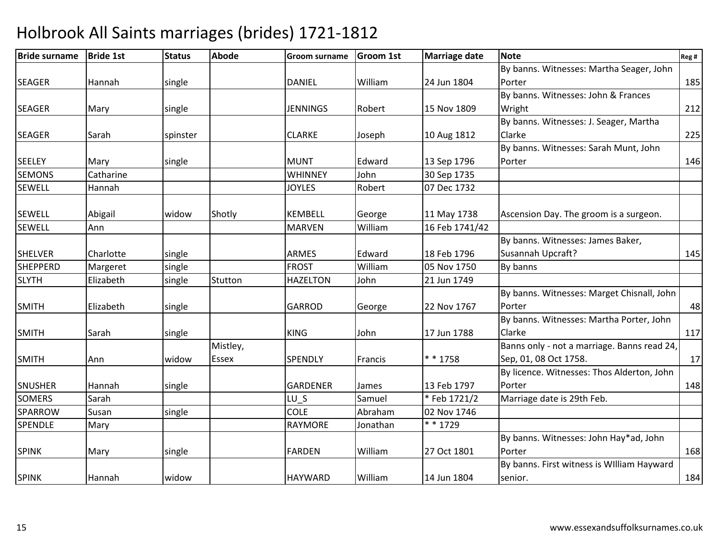| <b>Bride surname</b> | <b>Bride 1st</b> | <b>Status</b> | <b>Abode</b> | <b>Groom surname</b> | <b>Groom 1st</b> | <b>Marriage date</b> | <b>Note</b>                                 | Reg # |
|----------------------|------------------|---------------|--------------|----------------------|------------------|----------------------|---------------------------------------------|-------|
|                      |                  |               |              |                      |                  |                      | By banns. Witnesses: Martha Seager, John    |       |
| <b>SEAGER</b>        | Hannah           | single        |              | <b>DANIEL</b>        | William          | 24 Jun 1804          | Porter                                      | 185   |
|                      |                  |               |              |                      |                  |                      | By banns. Witnesses: John & Frances         |       |
| <b>SEAGER</b>        | Mary             | single        |              | <b>JENNINGS</b>      | Robert           | 15 Nov 1809          | Wright                                      | 212   |
|                      |                  |               |              |                      |                  |                      | By banns. Witnesses: J. Seager, Martha      |       |
| <b>SEAGER</b>        | Sarah            | spinster      |              | <b>CLARKE</b>        | Joseph           | 10 Aug 1812          | Clarke                                      | 225   |
|                      |                  |               |              |                      |                  |                      | By banns. Witnesses: Sarah Munt, John       |       |
| <b>SEELEY</b>        | Mary             | single        |              | <b>MUNT</b>          | Edward           | 13 Sep 1796          | Porter                                      | 146   |
| <b>SEMONS</b>        | Catharine        |               |              | <b>WHINNEY</b>       | John             | 30 Sep 1735          |                                             |       |
| <b>SEWELL</b>        | Hannah           |               |              | <b>JOYLES</b>        | Robert           | 07 Dec 1732          |                                             |       |
| <b>SEWELL</b>        | Abigail          | widow         | Shotly       | <b>KEMBELL</b>       | George           | 11 May 1738          | Ascension Day. The groom is a surgeon.      |       |
| <b>SEWELL</b>        | Ann              |               |              | <b>MARVEN</b>        | William          | 16 Feb 1741/42       |                                             |       |
|                      |                  |               |              |                      |                  |                      | By banns. Witnesses: James Baker,           |       |
| <b>SHELVER</b>       | Charlotte        | single        |              | <b>ARMES</b>         | Edward           | 18 Feb 1796          | Susannah Upcraft?                           | 145   |
| <b>SHEPPERD</b>      | Margeret         | single        |              | <b>FROST</b>         | William          | 05 Nov 1750          | By banns                                    |       |
| <b>SLYTH</b>         | Elizabeth        | single        | Stutton      | <b>HAZELTON</b>      | John             | 21 Jun 1749          |                                             |       |
|                      |                  |               |              |                      |                  |                      | By banns. Witnesses: Marget Chisnall, John  |       |
| <b>SMITH</b>         | Elizabeth        | single        |              | <b>GARROD</b>        | George           | 22 Nov 1767          | Porter                                      | 48    |
|                      |                  |               |              |                      |                  |                      | By banns. Witnesses: Martha Porter, John    |       |
| <b>SMITH</b>         | Sarah            | single        |              | <b>KING</b>          | John             | 17 Jun 1788          | Clarke                                      | 117   |
|                      |                  |               | Mistley,     |                      |                  |                      | Banns only - not a marriage. Banns read 24, |       |
| <b>SMITH</b>         | Ann              | widow         | <b>Essex</b> | SPENDLY              | Francis          | $* * 1758$           | Sep, 01, 08 Oct 1758.                       | 17    |
|                      |                  |               |              |                      |                  |                      | By licence. Witnesses: Thos Alderton, John  |       |
| <b>SNUSHER</b>       | Hannah           | single        |              | <b>GARDENER</b>      | James            | 13 Feb 1797          | Porter                                      | 148   |
| <b>SOMERS</b>        | Sarah            |               |              | LU <sub>S</sub>      | Samuel           | *Feb 1721/2          | Marriage date is 29th Feb.                  |       |
| SPARROW              | Susan            | single        |              | <b>COLE</b>          | Abraham          | 02 Nov 1746          |                                             |       |
| <b>SPENDLE</b>       | Mary             |               |              | RAYMORE              | Jonathan         | $* * 1729$           |                                             |       |
|                      |                  |               |              |                      |                  |                      | By banns. Witnesses: John Hay*ad, John      |       |
| <b>SPINK</b>         | Mary             | single        |              | <b>FARDEN</b>        | William          | 27 Oct 1801          | Porter                                      | 168   |
|                      |                  |               |              |                      |                  |                      | By banns. First witness is William Hayward  |       |
| <b>SPINK</b>         | Hannah           | widow         |              | <b>HAYWARD</b>       | William          | 14 Jun 1804          | senior.                                     | 184   |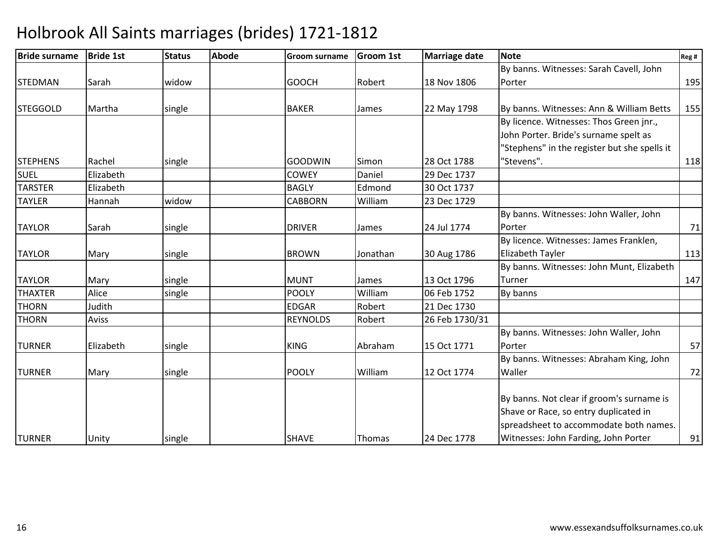| <b>Bride surname</b> | <b>Bride 1st</b> | <b>Status</b> | <b>Abode</b> | <b>Groom surname</b> | <b>Groom 1st</b> | <b>Marriage date</b> | <b>Note</b>                                  | Reg # |
|----------------------|------------------|---------------|--------------|----------------------|------------------|----------------------|----------------------------------------------|-------|
|                      |                  |               |              |                      |                  |                      | By banns. Witnesses: Sarah Cavell, John      |       |
| <b>STEDMAN</b>       | Sarah            | widow         |              | <b>GOOCH</b>         | Robert           | 18 Nov 1806          | Porter                                       | 195   |
|                      |                  |               |              |                      |                  |                      |                                              |       |
| <b>STEGGOLD</b>      | Martha           | single        |              | <b>BAKER</b>         | James            | 22 May 1798          | By banns. Witnesses: Ann & William Betts     | 155   |
|                      |                  |               |              |                      |                  |                      | By licence. Witnesses: Thos Green jnr.,      |       |
|                      |                  |               |              |                      |                  |                      | John Porter. Bride's surname spelt as        |       |
|                      |                  |               |              |                      |                  |                      | "Stephens" in the register but she spells it |       |
| <b>STEPHENS</b>      | Rachel           | single        |              | <b>GOODWIN</b>       | Simon            | 28 Oct 1788          | "Stevens".                                   | 118   |
| <b>SUEL</b>          | Elizabeth        |               |              | <b>COWEY</b>         | Daniel           | 29 Dec 1737          |                                              |       |
| <b>TARSTER</b>       | Elizabeth        |               |              | <b>BAGLY</b>         | Edmond           | 30 Oct 1737          |                                              |       |
| <b>TAYLER</b>        | Hannah           | widow         |              | <b>CABBORN</b>       | William          | 23 Dec 1729          |                                              |       |
|                      |                  |               |              |                      |                  |                      | By banns. Witnesses: John Waller, John       |       |
| <b>TAYLOR</b>        | Sarah            | single        |              | <b>DRIVER</b>        | James            | 24 Jul 1774          | Porter                                       | 71    |
|                      |                  |               |              |                      |                  |                      | By licence. Witnesses: James Franklen,       |       |
| <b>TAYLOR</b>        | Mary             | single        |              | <b>BROWN</b>         | Jonathan         | 30 Aug 1786          | Elizabeth Tayler                             | 113   |
|                      |                  |               |              |                      |                  |                      | By banns. Witnesses: John Munt, Elizabeth    |       |
| <b>TAYLOR</b>        | Mary             | single        |              | <b>MUNT</b>          | James            | 13 Oct 1796          | Turner                                       | 147   |
| <b>THAXTER</b>       | Alice            | single        |              | <b>POOLY</b>         | William          | 06 Feb 1752          | By banns                                     |       |
| <b>THORN</b>         | Judith           |               |              | <b>EDGAR</b>         | Robert           | 21 Dec 1730          |                                              |       |
| <b>THORN</b>         | Aviss            |               |              | <b>REYNOLDS</b>      | Robert           | 26 Feb 1730/31       |                                              |       |
|                      |                  |               |              |                      |                  |                      | By banns. Witnesses: John Waller, John       |       |
| <b>TURNER</b>        | Elizabeth        | single        |              | <b>KING</b>          | Abraham          | 15 Oct 1771          | Porter                                       | 57    |
|                      |                  |               |              |                      |                  |                      | By banns. Witnesses: Abraham King, John      |       |
| <b>TURNER</b>        | Mary             | single        |              | <b>POOLY</b>         | William          | 12 Oct 1774          | Waller                                       | 72    |
|                      |                  |               |              |                      |                  |                      |                                              |       |
|                      |                  |               |              |                      |                  |                      | By banns. Not clear if groom's surname is    |       |
|                      |                  |               |              |                      |                  |                      | Shave or Race, so entry duplicated in        |       |
|                      |                  |               |              |                      |                  |                      | spreadsheet to accommodate both names.       |       |
| <b>TURNER</b>        | Unity            | single        |              | <b>SHAVE</b>         | Thomas           | 24 Dec 1778          | Witnesses: John Farding, John Porter         | 91    |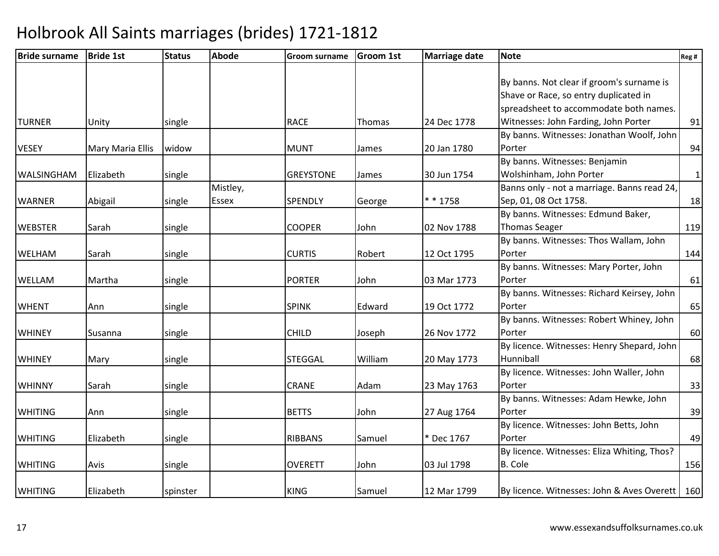| <b>Bride surname</b> | <b>Bride 1st</b> | <b>Status</b> | <b>Abode</b> | <b>Groom surname</b> | <b>Groom 1st</b> | <b>Marriage date</b> | <b>Note</b>                                      | Reg#     |
|----------------------|------------------|---------------|--------------|----------------------|------------------|----------------------|--------------------------------------------------|----------|
|                      |                  |               |              |                      |                  |                      |                                                  |          |
|                      |                  |               |              |                      |                  |                      | By banns. Not clear if groom's surname is        |          |
|                      |                  |               |              |                      |                  |                      | Shave or Race, so entry duplicated in            |          |
|                      |                  |               |              |                      |                  |                      | spreadsheet to accommodate both names.           |          |
| <b>TURNER</b>        | Unity            | single        |              | <b>RACE</b>          | Thomas           | 24 Dec 1778          | Witnesses: John Farding, John Porter             | 91       |
|                      |                  |               |              |                      |                  |                      | By banns. Witnesses: Jonathan Woolf, John        |          |
| <b>VESEY</b>         | Mary Maria Ellis | widow         |              | <b>MUNT</b>          | James            | 20 Jan 1780          | Porter                                           | 94       |
|                      |                  |               |              |                      |                  |                      | By banns. Witnesses: Benjamin                    |          |
| <b>WALSINGHAM</b>    | Elizabeth        | single        |              | <b>GREYSTONE</b>     | James            | 30 Jun 1754          | Wolshinham, John Porter                          | $1\vert$ |
|                      |                  |               | Mistley,     |                      |                  |                      | Banns only - not a marriage. Banns read 24,      |          |
| <b>WARNER</b>        | Abigail          | single        | <b>Essex</b> | SPENDLY              | George           | * * 1758             | Sep, 01, 08 Oct 1758.                            | 18       |
|                      |                  |               |              |                      |                  |                      | By banns. Witnesses: Edmund Baker,               |          |
| <b>WEBSTER</b>       | Sarah            | single        |              | <b>COOPER</b>        | John             | 02 Nov 1788          | <b>Thomas Seager</b>                             | 119      |
|                      |                  |               |              |                      |                  |                      | By banns. Witnesses: Thos Wallam, John           |          |
| <b>WELHAM</b>        | Sarah            | single        |              | <b>CURTIS</b>        | Robert           | 12 Oct 1795          | Porter                                           | 144      |
|                      |                  |               |              |                      |                  |                      | By banns. Witnesses: Mary Porter, John           |          |
| WELLAM               | Martha           | single        |              | <b>PORTER</b>        | John             | 03 Mar 1773          | Porter                                           | 61       |
|                      |                  |               |              |                      |                  |                      | By banns. Witnesses: Richard Keirsey, John       |          |
| <b>WHENT</b>         | Ann              | single        |              | <b>SPINK</b>         | Edward           | 19 Oct 1772          | Porter                                           | 65       |
|                      |                  |               |              |                      |                  |                      | By banns. Witnesses: Robert Whiney, John         |          |
| <b>WHINEY</b>        | Susanna          | single        |              | <b>CHILD</b>         | Joseph           | 26 Nov 1772          | Porter                                           | 60       |
|                      |                  |               |              |                      |                  |                      | By licence. Witnesses: Henry Shepard, John       |          |
| <b>WHINEY</b>        | Mary             | single        |              | <b>STEGGAL</b>       | William          | 20 May 1773          | Hunniball                                        | 68       |
|                      |                  |               |              |                      |                  |                      | By licence. Witnesses: John Waller, John         |          |
| <b>WHINNY</b>        | Sarah            | single        |              | <b>CRANE</b>         | Adam             | 23 May 1763          | Porter                                           | 33       |
|                      |                  |               |              |                      |                  |                      | By banns. Witnesses: Adam Hewke, John            |          |
| <b>WHITING</b>       | Ann              | single        |              | <b>BETTS</b>         | John             | 27 Aug 1764          | Porter                                           | 39       |
|                      |                  |               |              |                      |                  |                      | By licence. Witnesses: John Betts, John          |          |
| <b>WHITING</b>       | Elizabeth        | single        |              | <b>RIBBANS</b>       | Samuel           | * Dec 1767           | Porter                                           | 49       |
|                      |                  |               |              |                      |                  |                      | By licence. Witnesses: Eliza Whiting, Thos?      |          |
| <b>WHITING</b>       | Avis             | single        |              | <b>OVERETT</b>       | John             | 03 Jul 1798          | <b>B.</b> Cole                                   | 156      |
|                      |                  |               |              |                      |                  |                      |                                                  |          |
| <b>WHITING</b>       | Elizabeth        | spinster      |              | <b>KING</b>          | Samuel           | 12 Mar 1799          | By licence. Witnesses: John & Aves Overett   160 |          |